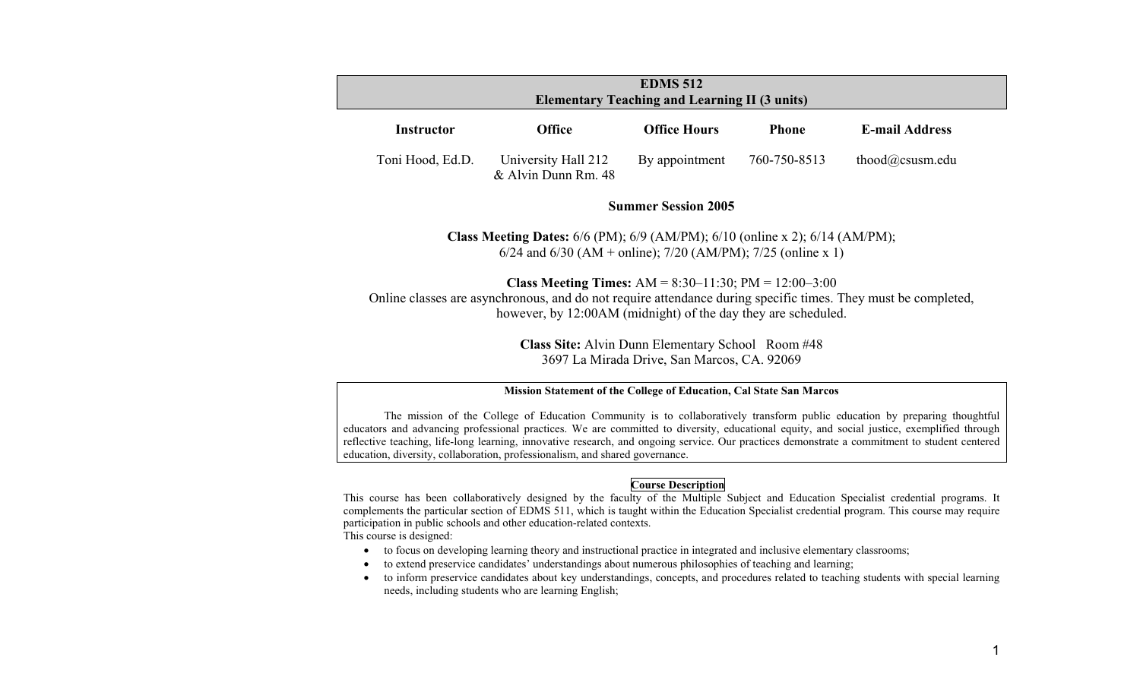| <b>EDMS 512</b><br><b>Elementary Teaching and Learning II (3 units)</b> |                                            |                     |              |                       |  |
|-------------------------------------------------------------------------|--------------------------------------------|---------------------|--------------|-----------------------|--|
| <b>Instructor</b>                                                       | <b>Office</b>                              | <b>Office Hours</b> | <b>Phone</b> | <b>E-mail Address</b> |  |
| Toni Hood, Ed.D.                                                        | University Hall 212<br>& Alvin Dunn Rm. 48 | By appointment      | 760-750-8513 | thood@csusm.edu       |  |

## **Summer Session 2005**

**Class Meeting Dates:** 6/6 (PM); 6/9 (AM/PM); 6/10 (online x 2); 6/14 (AM/PM); 6/24 and 6/30 (AM + online); 7/20 (AM/PM); 7/25 (online x 1)

**Class Meeting Times:** AM = 8:30–11:30; PM = 12:00–3:00 Online classes are asynchronous, and do not require attendance during specific times. They must be completed, however, by 12:00AM (midnight) of the day they are scheduled.

> **Class Site:** Alvin Dunn Elementary School Room #48 3697 La Mirada Drive, San Marcos, CA. 92069

#### **Mission Statement of the College of Education, Cal State San Marcos**

 The mission of the College of Education Community is to collaboratively transform public education by preparing thoughtful educators and advancing professional practices. We are committed to diversity, educational equity, and social justice, exemplified through reflective teaching, life-long learning, innovative research, and ongoing service. Our practices demonstrate a commitment to student centered education, diversity, collaboration, professionalism, and shared governance.

#### **Course Description**

This course has been collaboratively designed by the faculty of the Multiple Subject and Education Specialist credential programs. It complements the particular section of EDMS 511, which is taught within the Education Specialist credential program. This course may require participation in public schools and other education-related contexts. This course is designed:

- to focus on developing learning theory and instructional practice in integrated and inclusive elementary classrooms;
- •to extend preservice candidates' understandings about numerous philosophies of teaching and learning;
- • to inform preservice candidates about key understandings, concepts, and procedures related to teaching students with special learning needs, including students who are learning English;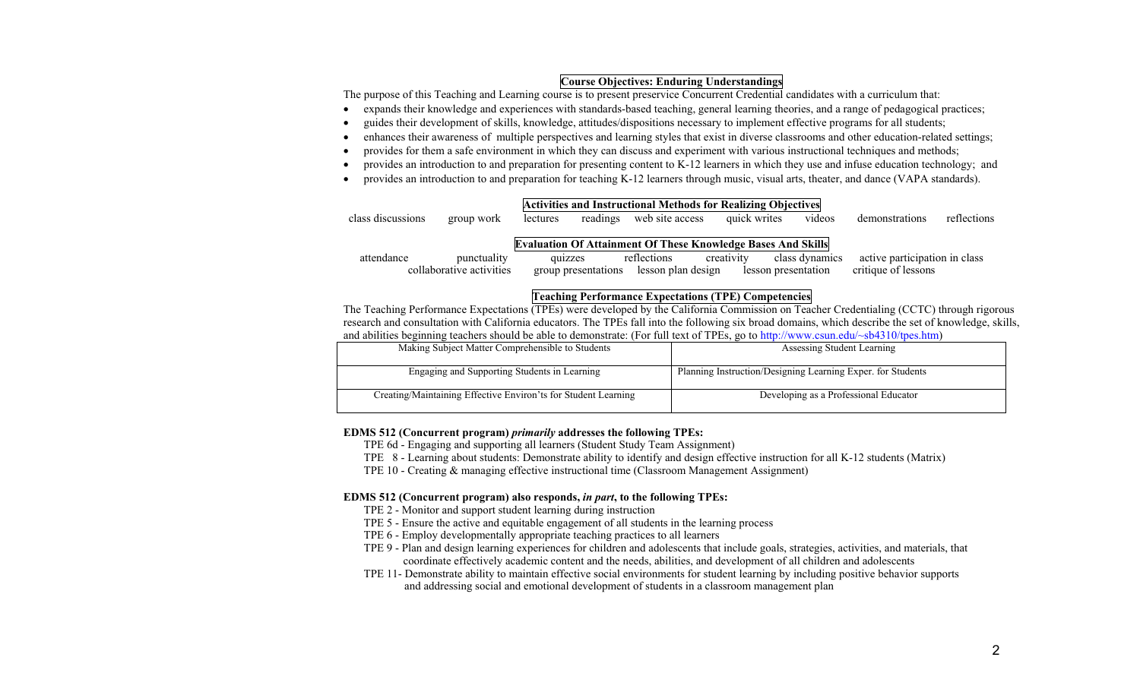## **Course Objectives: Enduring Understandings**

The purpose of this Teaching and Learning course is to present preservice Concurrent Credential candidates with a curriculum that:

- $\bullet$ expands their knowledge and experiences with standards-based teaching, general learning theories, and a range of pedagogical practices;
- •guides their development of skills, knowledge, attitudes/dispositions necessary to implement effective programs for all students;
- •enhances their awareness of multiple perspectives and learning styles that exist in diverse classrooms and other education-related settings;
- •provides for them a safe environment in which they can discuss and experiment with various instructional techniques and methods;
- •provides an introduction to and preparation for presenting content to K-12 learners in which they use and infuse education technology; and
- •provides an introduction to and preparation for teaching K-12 learners through music, visual arts, theater, and dance (VAPA standards).

| class discussions | group work               | lectures            | <b>Activities and Instructional Methods for Realizing Objectives</b><br>web site access<br>readings | quick writes | videos              | demonstrations                | reflections |
|-------------------|--------------------------|---------------------|-----------------------------------------------------------------------------------------------------|--------------|---------------------|-------------------------------|-------------|
|                   |                          |                     | <b>Evaluation Of Attainment Of These Knowledge Bases And Skills</b>                                 |              |                     |                               |             |
| attendance        | punctuality              | quizzes             | reflections                                                                                         | creativity   | class dynamics      | active participation in class |             |
|                   | collaborative activities | group presentations | lesson plan design                                                                                  |              | lesson presentation | critique of lessons           |             |

## **Teaching Performance Expectations (TPE) Competencies**

The Teaching Performance Expectations (TPEs) were developed by the California Commission on Teacher Credentialing (CCTC) through rigorous research and consultation with California educators. The TPEs fall into the following six broad domains, which describe the set of knowledge, skills, and abilities beginning teachers should be able to demonstrate: (For full text of TPEs, go to http://www.csun.edu/~sb4310/tpes.htm)

| Making Subject Matter Comprehensible to Students               | Assessing Student Learning                                  |
|----------------------------------------------------------------|-------------------------------------------------------------|
| Engaging and Supporting Students in Learning                   | Planning Instruction/Designing Learning Exper. for Students |
| Creating/Maintaining Effective Environ'ts for Student Learning | Developing as a Professional Educator                       |

#### **EDMS 512 (Concurrent program)** *primarily* **addresses the following TPEs:**

TPE 6d - Engaging and supporting all learners (Student Study Team Assignment)

- TPE 8 Learning about students: Demonstrate ability to identify and design effective instruction for all K-12 students (Matrix)
- TPE 10 Creating & managing effective instructional time (Classroom Management Assignment)

#### **EDMS 512 (Concurrent program) also responds,** *in part***, to the following TPEs:**

- TPE 2 Monitor and support student learning during instruction
- TPE 5 Ensure the active and equitable engagement of all students in the learning process
- TPE 6 Employ developmentally appropriate teaching practices to all learners
- TPE 9 Plan and design learning experiences for children and adolescents that include goals, strategies, activities, and materials, that coordinate effectively academic content and the needs, abilities, and development of all children and adolescents
- TPE 11- Demonstrate ability to maintain effective social environments for student learning by including positive behavior supports and addressing social and emotional development of students in a classroom management plan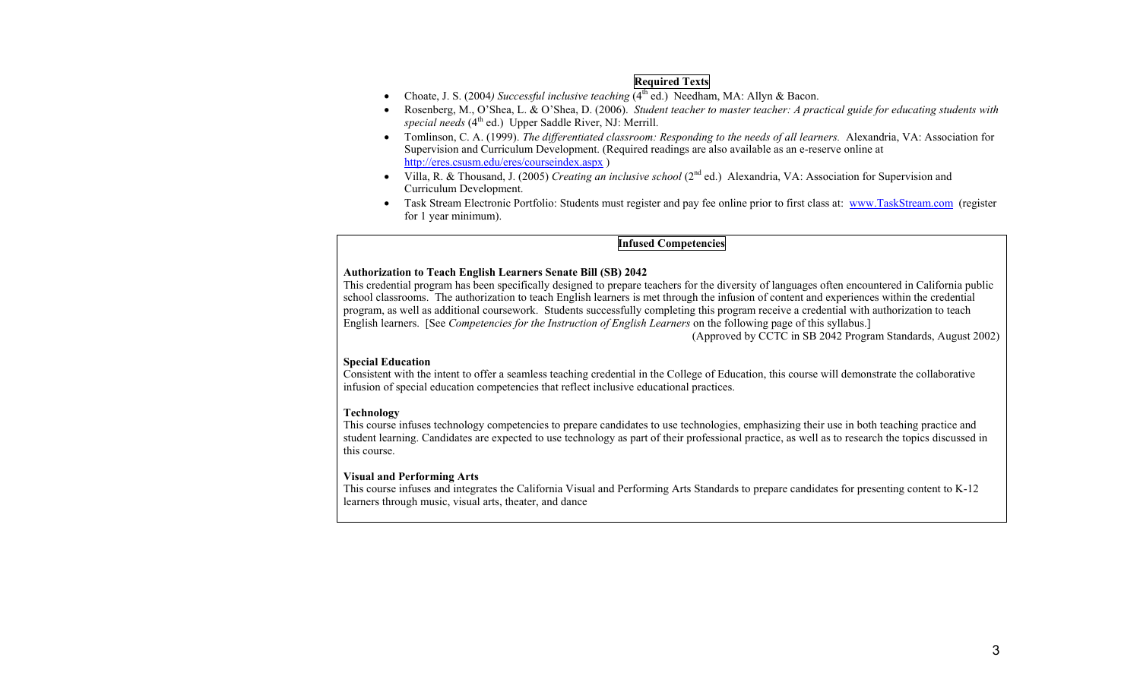# **Required Texts**

- Choate, J. S. (2004*) Successful inclusive teaching* (4<sup>th</sup> ed.) Needham, MA: Allyn & Bacon.
- • Rosenberg, M., O'Shea, L. & O'Shea, D. (2006). *Student teacher to master teacher: A practical guide for educating students with special needs* (4<sup>th</sup> ed.) Upper Saddle River, NJ: Merrill.
- Tomlinson, C. A. (1999). *The differentiated classroom: Responding to the needs of all learners.* Alexandria, VA: Association for Supervision and Curriculum Development. (Required readings are also available as an e-reserve online at http://eres.csusm.edu/eres/courseindex.aspx )
- • Villa, R. & Thousand, J. (2005) *Creating an inclusive school* (2nd ed.) Alexandria, VA: Association for Supervision and Curriculum Development.
- $\bullet$  Task Stream Electronic Portfolio: Students must register and pay fee online prior to first class at: www.TaskStream.com (register for 1 year minimum).

# **Infused Competencies**

#### **Authorization to Teach English Learners Senate Bill (SB) 2042**

This credential program has been specifically designed to prepare teachers for the diversity of languages often encountered in California public school classrooms. The authorization to teach English learners is met through the infusion of content and experiences within the credential program, as well as additional coursework. Students successfully completing this program receive a credential with authorization to teach English learners. [See *Competencies for the Instruction of English Learners* on the following page of this syllabus.]

(Approved by CCTC in SB 2042 Program Standards, August 2002)

#### **Special Education**

Consistent with the intent to offer a seamless teaching credential in the College of Education, this course will demonstrate the collaborative infusion of special education competencies that reflect inclusive educational practices.

## **Technology**

This course infuses technology competencies to prepare candidates to use technologies, emphasizing their use in both teaching practice and student learning. Candidates are expected to use technology as part of their professional practice, as well as to research the topics discussed in this course.

## **Visual and Performing Arts**

This course infuses and integrates the California Visual and Performing Arts Standards to prepare candidates for presenting content to K-12 learners through music, visual arts, theater, and dance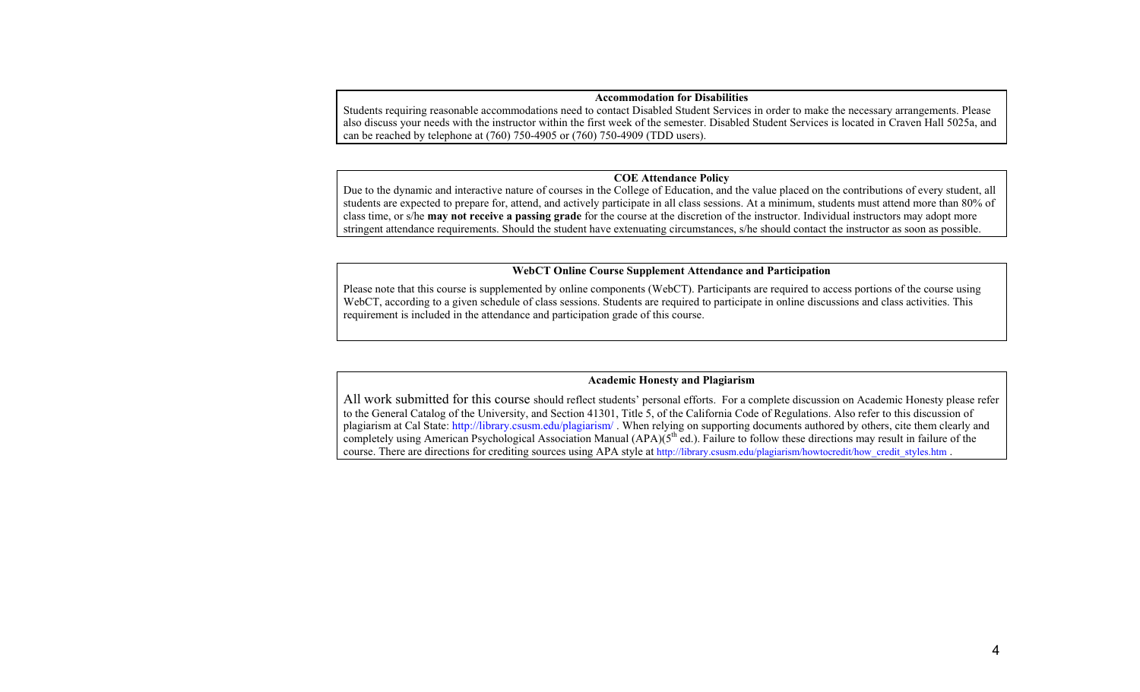#### **Accommodation for Disabilities**

Students requiring reasonable accommodations need to contact Disabled Student Services in order to make the necessary arrangements. Please also discuss your needs with the instructor within the first week of the semester. Disabled Student Services is located in Craven Hall 5025a, and can be reached by telephone at (760) 750-4905 or (760) 750-4909 (TDD users).

#### **COE Attendance Policy**

Due to the dynamic and interactive nature of courses in the College of Education, and the value placed on the contributions of every student, all students are expected to prepare for, attend, and actively participate in all class sessions. At a minimum, students must attend more than 80% of class time, or s/he **may not receive a passing grade** for the course at the discretion of the instructor. Individual instructors may adopt more stringent attendance requirements. Should the student have extenuating circumstances, s/he should contact the instructor as soon as possible.

#### **WebCT Online Course Supplement Attendance and Participation**

Please note that this course is supplemented by online components (WebCT). Participants are required to access portions of the course using WebCT, according to a given schedule of class sessions. Students are required to participate in online discussions and class activities. This requirement is included in the attendance and participation grade of this course.

#### **Academic Honesty and Plagiarism**

All work submitted for this course should reflect students' personal efforts. For a complete discussion on Academic Honesty please refer to the General Catalog of the University, and Section 41301, Title 5, of the California Code of Regulations. Also refer to this discussion of plagiarism at Cal State: http://library.csusm.edu/plagiarism/ . When relying on supporting documents authored by others, cite them clearly and completely using American Psychological Association Manual (APA)(5<sup>th</sup> ed.). Failure to follow these directions may result in failure of the course. There are directions for crediting sources using APA style at http://library.csusm.edu/plagiarism/howtocredit/how\_credit\_styles.htm .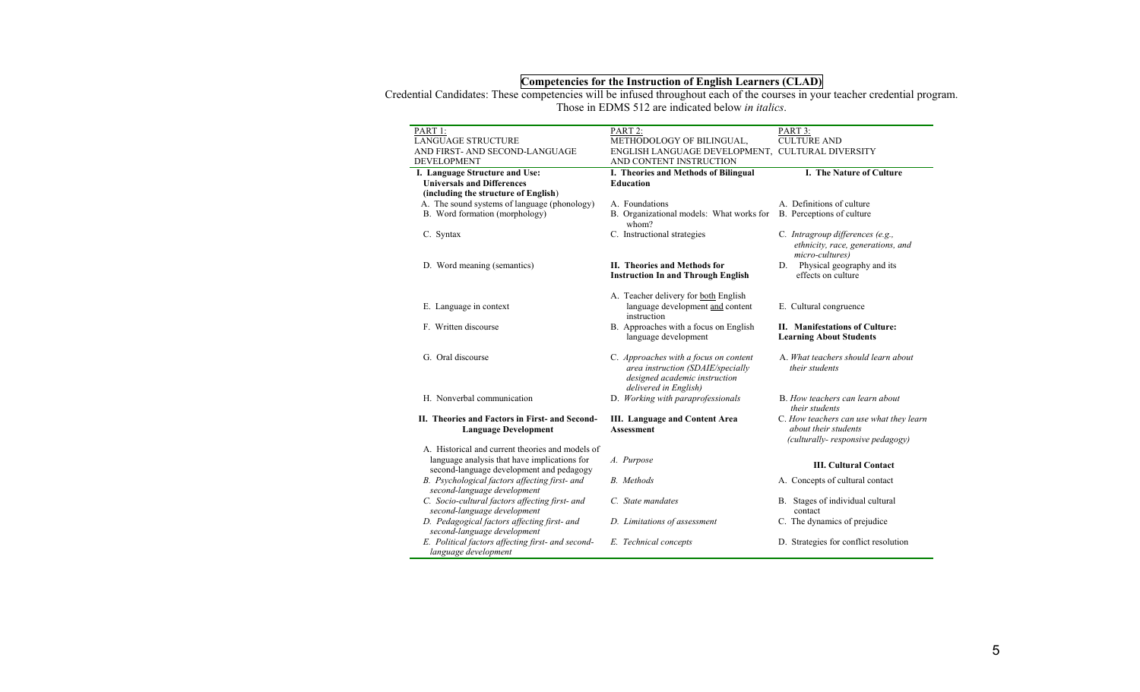#### **Competencies for the Instruction of English Learners (CLAD)**

Credential Candidates: These competencies will be infused throughout each of the courses in your teacher credential program. Those in EDMS 512 are indicated below *in italics*.

| PART 1:                                                                                                                                      | PART 2:                                                                                                                              | PART 3:                                                                                             |
|----------------------------------------------------------------------------------------------------------------------------------------------|--------------------------------------------------------------------------------------------------------------------------------------|-----------------------------------------------------------------------------------------------------|
| <b>LANGUAGE STRUCTURE</b>                                                                                                                    | METHODOLOGY OF BILINGUAL,                                                                                                            | <b>CULTURE AND</b>                                                                                  |
| AND FIRST- AND SECOND-LANGUAGE                                                                                                               | ENGLISH LANGUAGE DEVELOPMENT, CULTURAL DIVERSITY                                                                                     |                                                                                                     |
| <b>DEVELOPMENT</b>                                                                                                                           | AND CONTENT INSTRUCTION                                                                                                              |                                                                                                     |
| I. Language Structure and Use:                                                                                                               | I. Theories and Methods of Bilingual                                                                                                 | I. The Nature of Culture                                                                            |
| <b>Universals and Differences</b>                                                                                                            | <b>Education</b>                                                                                                                     |                                                                                                     |
| (including the structure of English)                                                                                                         |                                                                                                                                      |                                                                                                     |
| A. The sound systems of language (phonology)                                                                                                 | A. Foundations                                                                                                                       | A. Definitions of culture                                                                           |
| B. Word formation (morphology)                                                                                                               | B. Organizational models: What works for<br>whom?                                                                                    | B. Perceptions of culture                                                                           |
| C. Syntax                                                                                                                                    | C. Instructional strategies                                                                                                          | C. Intragroup differences (e.g.,<br>ethnicity, race, generations, and<br>micro-cultures)            |
| D. Word meaning (semantics)                                                                                                                  | II. Theories and Methods for<br><b>Instruction In and Through English</b>                                                            | D. Physical geography and its<br>effects on culture                                                 |
|                                                                                                                                              | A. Teacher delivery for both English                                                                                                 |                                                                                                     |
| E. Language in context                                                                                                                       | language development and content<br>instruction                                                                                      | E. Cultural congruence                                                                              |
| F. Written discourse                                                                                                                         | B. Approaches with a focus on English<br>language development                                                                        | II. Manifestations of Culture:<br><b>Learning About Students</b>                                    |
| G. Oral discourse                                                                                                                            | C. Approaches with a focus on content<br>area instruction (SDAIE/specially<br>designed academic instruction<br>delivered in English) | A. What teachers should learn about<br>their students                                               |
| H. Nonverbal communication                                                                                                                   | D. Working with paraprofessionals                                                                                                    | B. How teachers can learn about<br>their students                                                   |
| II. Theories and Factors in First- and Second-<br><b>Language Development</b>                                                                | <b>III.</b> Language and Content Area<br><b>Assessment</b>                                                                           | C. How teachers can use what they learn<br>about their students<br>(culturally-responsive pedagogy) |
| A. Historical and current theories and models of<br>language analysis that have implications for<br>second-language development and pedagogy | A. Purpose                                                                                                                           | <b>III. Cultural Contact</b>                                                                        |
| B. Psychological factors affecting first- and<br>second-language development                                                                 | B. Methods                                                                                                                           | A. Concepts of cultural contact                                                                     |
| C. Socio-cultural factors affecting first- and<br>second-language development                                                                | C. State mandates                                                                                                                    | B. Stages of individual cultural<br>contact                                                         |
| D. Pedagogical factors affecting first- and<br>second-language development                                                                   | D. Limitations of assessment                                                                                                         | C. The dynamics of prejudice                                                                        |
| E. Political factors affecting first- and second-<br>language development                                                                    | E. Technical concepts                                                                                                                | D. Strategies for conflict resolution                                                               |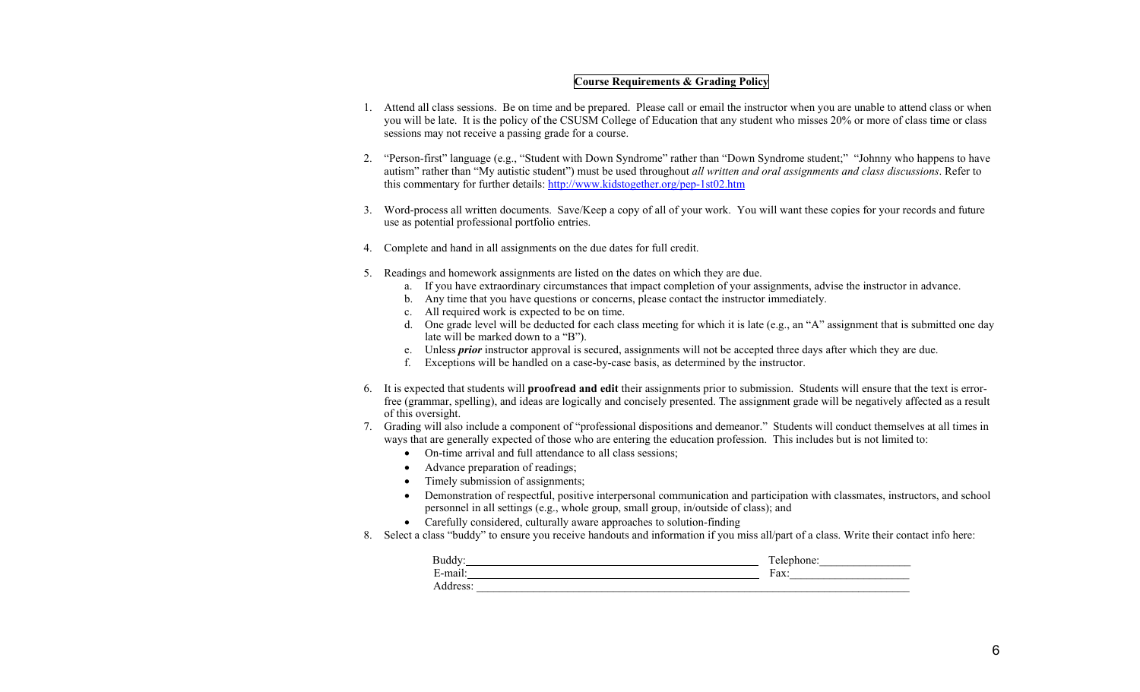## **Course Requirements & Grading Policy**

- 1. Attend all class sessions. Be on time and be prepared. Please call or email the instructor when you are unable to attend class or when you will be late. It is the policy of the CSUSM College of Education that any student who misses 20% or more of class time or class sessions may not receive a passing grade for a course.
- 2. "Person-first" language (e.g., "Student with Down Syndrome" rather than "Down Syndrome student;" "Johnny who happens to have autism" rather than "My autistic student") must be used throughout *all written and oral assignments and class discussions*. Refer to this commentary for further details: http://www.kidstogether.org/pep-1st02.htm
- 3. Word-process all written documents. Save/Keep a copy of all of your work. You will want these copies for your records and future use as potential professional portfolio entries.
- 4. Complete and hand in all assignments on the due dates for full credit.
- 5. Readings and homework assignments are listed on the dates on which they are due.
	- a. If you have extraordinary circumstances that impact completion of your assignments, advise the instructor in advance.
	- b. Any time that you have questions or concerns, please contact the instructor immediately.
	- c. All required work is expected to be on time.
	- d. One grade level will be deducted for each class meeting for which it is late (e.g., an "A" assignment that is submitted one day late will be marked down to a "B").
	- e. Unless *prior* instructor approval is secured, assignments will not be accepted three days after which they are due.
	- f. Exceptions will be handled on a case-by-case basis, as determined by the instructor.
- 6. It is expected that students will **proofread and edit** their assignments prior to submission. Students will ensure that the text is errorfree (grammar, spelling), and ideas are logically and concisely presented. The assignment grade will be negatively affected as a result of this oversight.
- 7. Grading will also include a component of "professional dispositions and demeanor." Students will conduct themselves at all times in ways that are generally expected of those who are entering the education profession. This includes but is not limited to:
	- On-time arrival and full attendance to all class sessions;
	- Advance preparation of readings;
	- Timely submission of assignments;
	- • Demonstration of respectful, positive interpersonal communication and participation with classmates, instructors, and school personnel in all settings (e.g., whole group, small group, in/outside of class); and
	- Carefully considered, culturally aware approaches to solution-finding
- 8. Select a class "buddy" to ensure you receive handouts and information if you miss all/part of a class. Write their contact info here:

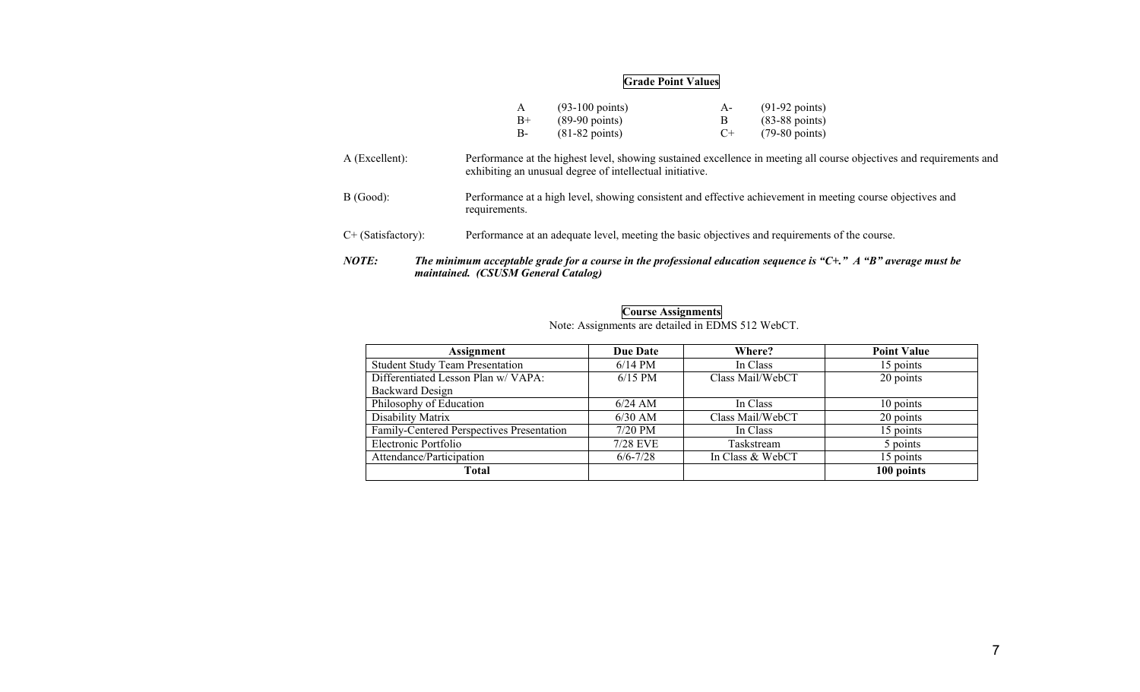#### **Grade Point Values**

|      | $(93-100 \text{ points})$ | $A -$ | $(91-92 \text{ points})$ |
|------|---------------------------|-------|--------------------------|
| $B+$ | $(89-90 \text{ points})$  |       | $(83-88 \text{ points})$ |
| В-   | $(81-82 \text{ points})$  | $($ + | $(79-80 \text{ points})$ |

- A (Excellent): Performance at the highest level, showing sustained excellence in meeting all course objectives and requirements and exhibiting an unusual degree of intellectual initiative.
- B (Good): Performance at a high level, showing consistent and effective achievement in meeting course objectives and requirements.
- C+ (Satisfactory): Performance at an adequate level, meeting the basic objectives and requirements of the course.
- *NOTE: The minimum acceptable grade for a course in the professional education sequence is "C+." A "B" average must be maintained. (CSUSM General Catalog)*

| Assignment                                | <b>Due Date</b> | Where?           | <b>Point Value</b> |
|-------------------------------------------|-----------------|------------------|--------------------|
| <b>Student Study Team Presentation</b>    | $6/14$ PM       | In Class         | 15 points          |
| Differentiated Lesson Plan w/ VAPA:       | $6/15$ PM       | Class Mail/WebCT | 20 points          |
| <b>Backward Design</b>                    |                 |                  |                    |
| Philosophy of Education                   | $6/24$ AM       | In Class         | 10 points          |
| Disability Matrix                         | $6/30$ AM       | Class Mail/WebCT | 20 points          |
| Family-Centered Perspectives Presentation | $7/20$ PM       | In Class         | 15 points          |
| Electronic Portfolio                      | 7/28 EVE        | Taskstream       | 5 points           |
| Attendance/Participation                  | $6/6 - 7/28$    | In Class & WebCT | 15 points          |
| Total                                     |                 |                  | 100 points         |

**Course Assignments**  Note: Assignments are detailed in EDMS 512 WebCT.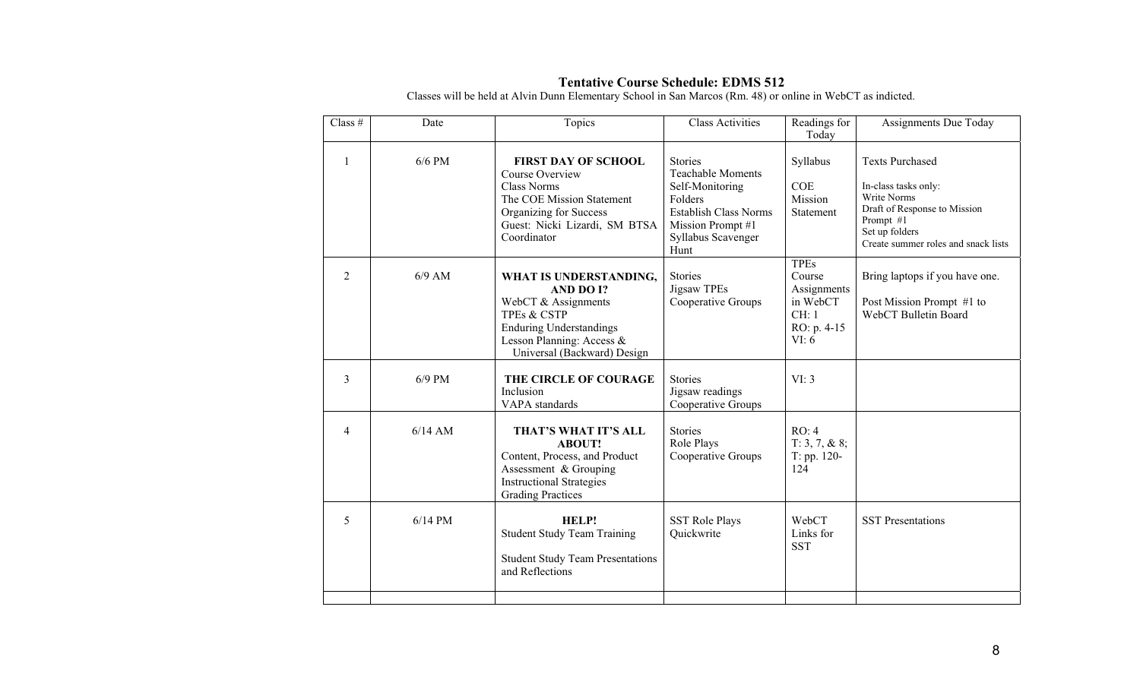| Class $#$      | Date      | Topics                                                                                                                                                                             | Class Activities                                                                                                                                            | Readings for<br>Today                                                             | <b>Assignments Due Today</b>                                                                                                                                        |
|----------------|-----------|------------------------------------------------------------------------------------------------------------------------------------------------------------------------------------|-------------------------------------------------------------------------------------------------------------------------------------------------------------|-----------------------------------------------------------------------------------|---------------------------------------------------------------------------------------------------------------------------------------------------------------------|
| $\mathbf{1}$   | $6/6$ PM  | <b>FIRST DAY OF SCHOOL</b><br>Course Overview<br><b>Class Norms</b><br>The COE Mission Statement<br>Organizing for Success<br>Guest: Nicki Lizardi, SM BTSA<br>Coordinator         | <b>Stories</b><br><b>Teachable Moments</b><br>Self-Monitoring<br>Folders<br><b>Establish Class Norms</b><br>Mission Prompt #1<br>Syllabus Scavenger<br>Hunt | Syllabus<br><b>COE</b><br>Mission<br>Statement                                    | <b>Texts Purchased</b><br>In-class tasks only:<br>Write Norms<br>Draft of Response to Mission<br>Prompt #1<br>Set up folders<br>Create summer roles and snack lists |
| $\overline{2}$ | $6/9$ AM  | WHAT IS UNDERSTANDING,<br>AND DO I?<br>WebCT & Assignments<br><b>TPEs &amp; CSTP</b><br><b>Enduring Understandings</b><br>Lesson Planning: Access &<br>Universal (Backward) Design | <b>Stories</b><br>Jigsaw TPEs<br>Cooperative Groups                                                                                                         | <b>TPEs</b><br>Course<br>Assignments<br>in WebCT<br>CH: 1<br>RO: p. 4-15<br>VI: 6 | Bring laptops if you have one.<br>Post Mission Prompt #1 to<br>WebCT Bulletin Board                                                                                 |
| 3              | $6/9$ PM  | THE CIRCLE OF COURAGE<br>Inclusion<br>VAPA standards                                                                                                                               | <b>Stories</b><br>Jigsaw readings<br>Cooperative Groups                                                                                                     | VI: 3                                                                             |                                                                                                                                                                     |
| $\overline{4}$ | $6/14$ AM | THAT'S WHAT IT'S ALL<br><b>ABOUT!</b><br>Content, Process, and Product<br>Assessment & Grouping<br><b>Instructional Strategies</b><br><b>Grading Practices</b>                     | <b>Stories</b><br>Role Plays<br>Cooperative Groups                                                                                                          | RO: 4<br>$T: 3, 7, \& 8;$<br>T: pp. 120-<br>124                                   |                                                                                                                                                                     |
| 5              | $6/14$ PM | HELP!<br><b>Student Study Team Training</b><br><b>Student Study Team Presentations</b><br>and Reflections                                                                          | <b>SST Role Plays</b><br>Quickwrite                                                                                                                         | WebCT<br>Links for<br><b>SST</b>                                                  | <b>SST</b> Presentations                                                                                                                                            |

# **Tentative Course Schedule: EDMS 512**<br>Classes will be held at Alvin Dunn Elementary School in San Marcos (Rm. 48) or online in WebCT as indicted.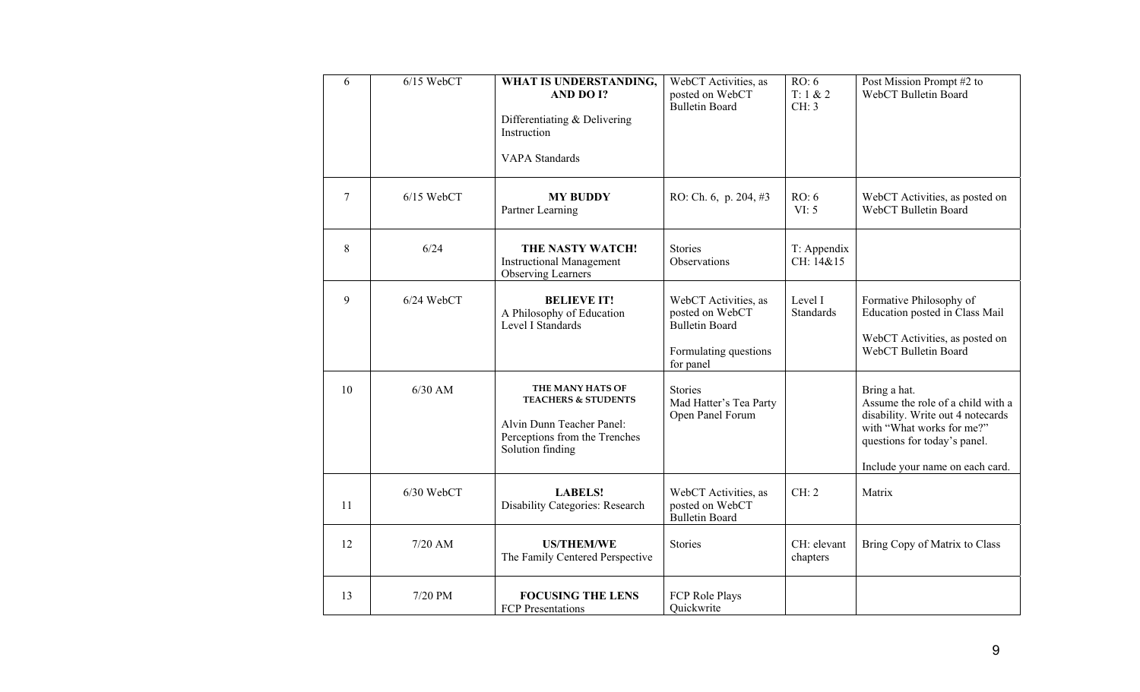| $\overline{6}$ | $6/15$ WebCT | WHAT IS UNDERSTANDING,<br>AND DO I?<br>Differentiating & Delivering<br>Instruction<br><b>VAPA</b> Standards                          | WebCT Activities, as<br>posted on WebCT<br><b>Bulletin Board</b>                                       | RO: 6<br>T: 1 & 2<br>CH: 3  | Post Mission Prompt #2 to<br>WebCT Bulletin Board                                                                                                                                      |
|----------------|--------------|--------------------------------------------------------------------------------------------------------------------------------------|--------------------------------------------------------------------------------------------------------|-----------------------------|----------------------------------------------------------------------------------------------------------------------------------------------------------------------------------------|
| $\overline{7}$ | $6/15$ WebCT | <b>MY BUDDY</b><br>Partner Learning                                                                                                  | RO: Ch. $6$ , p. 204, $#3$                                                                             | RO: 6<br>VI: 5              | WebCT Activities, as posted on<br>WebCT Bulletin Board                                                                                                                                 |
| 8              | 6/24         | THE NASTY WATCH!<br><b>Instructional Management</b><br><b>Observing Learners</b>                                                     | Stories<br>Observations                                                                                | T: Appendix<br>CH: 14&15    |                                                                                                                                                                                        |
| 9              | $6/24$ WebCT | <b>BELIEVE IT!</b><br>A Philosophy of Education<br>Level I Standards                                                                 | WebCT Activities, as<br>posted on WebCT<br><b>Bulletin Board</b><br>Formulating questions<br>for panel | Level I<br><b>Standards</b> | Formative Philosophy of<br>Education posted in Class Mail<br>WebCT Activities, as posted on<br>WebCT Bulletin Board                                                                    |
| 10             | $6/30$ AM    | THE MANY HATS OF<br><b>TEACHERS &amp; STUDENTS</b><br>Alvin Dunn Teacher Panel:<br>Perceptions from the Trenches<br>Solution finding | Stories<br>Mad Hatter's Tea Party<br>Open Panel Forum                                                  |                             | Bring a hat.<br>Assume the role of a child with a<br>disability. Write out 4 notecards<br>with "What works for me?"<br>questions for today's panel.<br>Include your name on each card. |
| 11             | 6/30 WebCT   | <b>LABELS!</b><br>Disability Categories: Research                                                                                    | WebCT Activities, as<br>posted on WebCT<br><b>Bulletin Board</b>                                       | CH: 2                       | Matrix                                                                                                                                                                                 |
| 12             | $7/20$ AM    | <b>US/THEM/WE</b><br>The Family Centered Perspective                                                                                 | Stories                                                                                                | CH: elevant<br>chapters     | Bring Copy of Matrix to Class                                                                                                                                                          |
| 13             | 7/20 PM      | <b>FOCUSING THE LENS</b><br>FCP Presentations                                                                                        | FCP Role Plays<br>Quickwrite                                                                           |                             |                                                                                                                                                                                        |